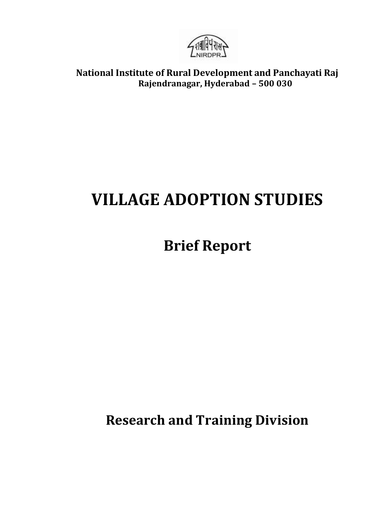

**National Institute of Rural Development and Panchayati Raj Rajendranagar, Hyderabad – 500 030**

# **VILLAGE ADOPTION STUDIES**

## **Brief Report**

**Research and Training Division**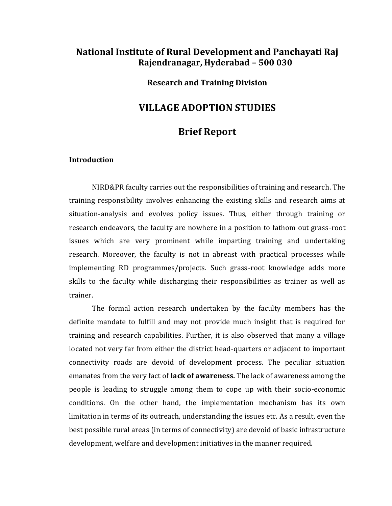## **National Institute of Rural Development and Panchayati Raj Rajendranagar, Hyderabad – 500 030**

#### **Research and Training Division**

### **VILLAGE ADOPTION STUDIES**

## **Brief Report**

#### **Introduction**

NIRD&PR faculty carries out the responsibilities of training and research. The training responsibility involves enhancing the existing skills and research aims at situation-analysis and evolves policy issues. Thus, either through training or research endeavors, the faculty are nowhere in a position to fathom out grass-root issues which are very prominent while imparting training and undertaking research. Moreover, the faculty is not in abreast with practical processes while implementing RD programmes/projects. Such grass-root knowledge adds more skills to the faculty while discharging their responsibilities as trainer as well as trainer.

The formal action research undertaken by the faculty members has the definite mandate to fulfill and may not provide much insight that is required for training and research capabilities. Further, it is also observed that many a village located not very far from either the district head-quarters or adjacent to important connectivity roads are devoid of development process. The peculiar situation emanates from the very fact of **lack of awareness.** The lack of awareness among the people is leading to struggle among them to cope up with their socio-economic conditions. On the other hand, the implementation mechanism has its own limitation in terms of its outreach, understanding the issues etc. As a result, even the best possible rural areas (in terms of connectivity) are devoid of basic infrastructure development, welfare and development initiatives in the manner required.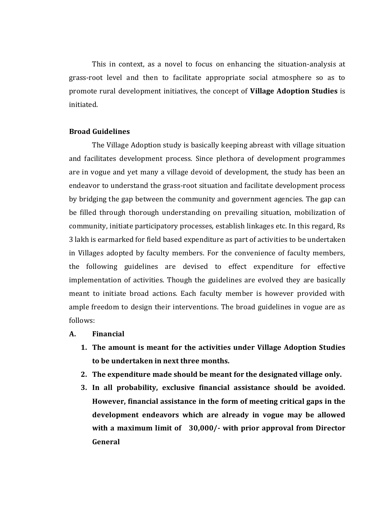This in context, as a novel to focus on enhancing the situation-analysis at grass-root level and then to facilitate appropriate social atmosphere so as to promote rural development initiatives, the concept of **Village Adoption Studies** is initiated.

#### **Broad Guidelines**

The Village Adoption study is basically keeping abreast with village situation and facilitates development process. Since plethora of development programmes are in vogue and yet many a village devoid of development, the study has been an endeavor to understand the grass-root situation and facilitate development process by bridging the gap between the community and government agencies. The gap can be filled through thorough understanding on prevailing situation, mobilization of community, initiate participatory processes, establish linkages etc. In this regard, Rs 3 lakh is earmarked for field based expenditure as part of activities to be undertaken in Villages adopted by faculty members. For the convenience of faculty members, the following guidelines are devised to effect expenditure for effective implementation of activities. Though the guidelines are evolved they are basically meant to initiate broad actions. Each faculty member is however provided with ample freedom to design their interventions. The broad guidelines in vogue are as follows:

- **A. Financial**
	- **1. The amount is meant for the activities under Village Adoption Studies to be undertaken in next three months.**
	- **2. The expenditure made should be meant for the designated village only.**
	- **3. In all probability, exclusive financial assistance should be avoided. However, financial assistance in the form of meeting critical gaps in the development endeavors which are already in vogue may be allowed with a maximum limit of 30,000/- with prior approval from Director General**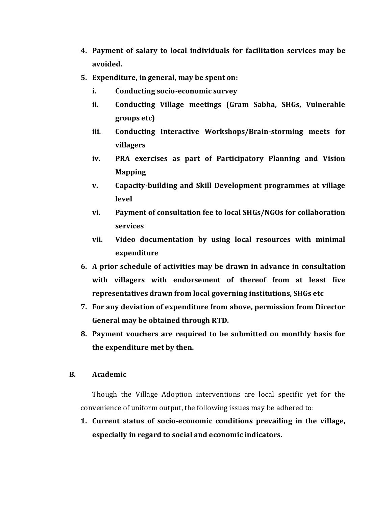- **4. Payment of salary to local individuals for facilitation services may be avoided.**
- **5. Expenditure, in general, may be spent on:** 
	- **i. Conducting socio-economic survey**
	- **ii. Conducting Village meetings (Gram Sabha, SHGs, Vulnerable groups etc)**
	- **iii. Conducting Interactive Workshops/Brain-storming meets for villagers**
	- **iv. PRA exercises as part of Participatory Planning and Vision Mapping**
	- **v. Capacity-building and Skill Development programmes at village level**
	- **vi. Payment of consultation fee to local SHGs/NGOs for collaboration services**
	- **vii. Video documentation by using local resources with minimal expenditure**
- **6. A prior schedule of activities may be drawn in advance in consultation with villagers with endorsement of thereof from at least five representatives drawn from local governing institutions, SHGs etc**
- **7. For any deviation of expenditure from above, permission from Director General may be obtained through RTD.**
- **8. Payment vouchers are required to be submitted on monthly basis for the expenditure met by then.**

#### **B. Academic**

Though the Village Adoption interventions are local specific yet for the convenience of uniform output, the following issues may be adhered to:

**1. Current status of socio-economic conditions prevailing in the village, especially in regard to social and economic indicators.**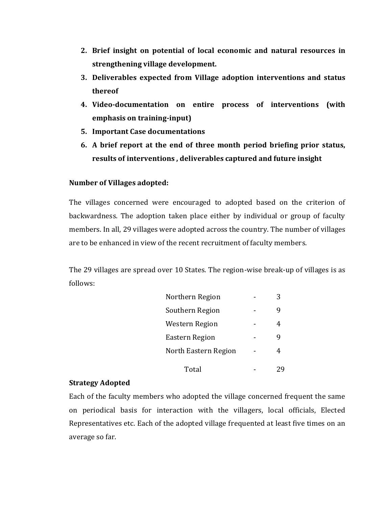- **2. Brief insight on potential of local economic and natural resources in strengthening village development.**
- **3. Deliverables expected from Village adoption interventions and status thereof**
- **4. Video-documentation on entire process of interventions (with emphasis on training-input)**
- **5. Important Case documentations**
- **6. A brief report at the end of three month period briefing prior status, results of interventions , deliverables captured and future insight**

#### **Number of Villages adopted:**

The villages concerned were encouraged to adopted based on the criterion of backwardness. The adoption taken place either by individual or group of faculty members. In all, 29 villages were adopted across the country. The number of villages are to be enhanced in view of the recent recruitment of faculty members.

The 29 villages are spread over 10 States. The region-wise break-up of villages is as follows:

| Northern Region      |  |
|----------------------|--|
| Southern Region      |  |
| Western Region       |  |
| Eastern Region       |  |
| North Eastern Region |  |
| Total                |  |

#### **Strategy Adopted**

Each of the faculty members who adopted the village concerned frequent the same on periodical basis for interaction with the villagers, local officials, Elected Representatives etc. Each of the adopted village frequented at least five times on an average so far.